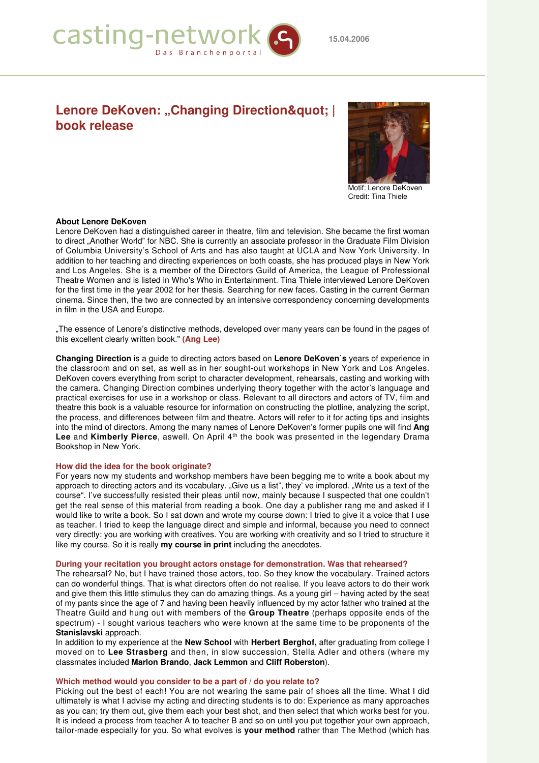

# **Lenore DeKoven: "Changing Direction" | book release**



Motif: Lenore DeKoven Credit: Tina Thiele

## **About Lenore DeKoven**

Lenore DeKoven had a distinguished career in theatre, film and television. She became the first woman to direct "Another World" for NBC. She is currently an associate professor in the Graduate Film Division of Columbia University's School of Arts and has also taught at UCLA and New York University. In addition to her teaching and directing experiences on both coasts, she has produced plays in New York and Los Angeles. She is a member of the Directors Guild of America, the League of Professional Theatre Women and is listed in Who's Who in Entertainment. Tina Thiele interviewed Lenore DeKoven for the first time in the year 2002 for her thesis. Searching for new faces. Casting in the current German cinema. Since then, the two are connected by an intensive correspondency concerning developments in film in the USA and Europe.

"The essence of Lenore's distinctive methods, developed over many years can be found in the pages of this excellent clearly written book." **(Ang Lee)**

**Changing Direction** is a guide to directing actors based on **Lenore DeKoven`s** years of experience in the classroom and on set, as well as in her sought-out workshops in New York and Los Angeles. DeKoven covers everything from script to character development, rehearsals, casting and working with the camera. Changing Direction combines underlying theory together with the actor's language and practical exercises for use in a workshop or class. Relevant to all directors and actors of TV, film and theatre this book is a valuable resource for information on constructing the plotline, analyzing the script, the process, and differences between film and theatre. Actors will refer to it for acting tips and insights into the mind of directors. Among the many names of Lenore DeKoven's former pupils one will find **Ang** Lee and Kimberly Pierce, aswell. On April 4<sup>th</sup> the book was presented in the legendary Drama Bookshop in New York.

#### **How did the idea for the book originate?**

For years now my students and workshop members have been begging me to write a book about my approach to directing actors and its vocabulary. "Give us a list", they' ve implored. "Write us a text of the course". I've successfully resisted their pleas until now, mainly because I suspected that one couldn't get the real sense of this material from reading a book. One day a publisher rang me and asked if I would like to write a book. So I sat down and wrote my course down: I tried to give it a voice that I use as teacher. I tried to keep the language direct and simple and informal, because you need to connect very directly: you are working with creatives. You are working with creativity and so I tried to structure it like my course. So it is really **my course in print** including the anecdotes.

#### **During your recitation you brought actors onstage for demonstration. Was that rehearsed?**

The rehearsal? No, but I have trained those actors, too. So they know the vocabulary. Trained actors can do wonderful things. That is what directors often do not realise. If you leave actors to do their work and give them this little stimulus they can do amazing things. As a young girl – having acted by the seat of my pants since the age of 7 and having been heavily influenced by my actor father who trained at the Theatre Guild and hung out with members of the **Group Theatre** (perhaps opposite ends of the spectrum) - I sought various teachers who were known at the same time to be proponents of the **Stanislavski** approach.

In addition to my experience at the **New School** with **Herbert Berghof,** after graduating from college I moved on to **Lee Strasberg** and then, in slow succession, Stella Adler and others (where my classmates included **Marlon Brando**, **Jack Lemmon** and **Cliff Roberston**).

#### **Which method would you consider to be a part of / do you relate to?**

Picking out the best of each! You are not wearing the same pair of shoes all the time. What I did ultimately is what I advise my acting and directing students is to do: Experience as many approaches as you can; try them out, give them each your best shot, and then select that which works best for you. It is indeed a process from teacher A to teacher B and so on until you put together your own approach, tailor-made especially for you. So what evolves is **your method** rather than The Method (which has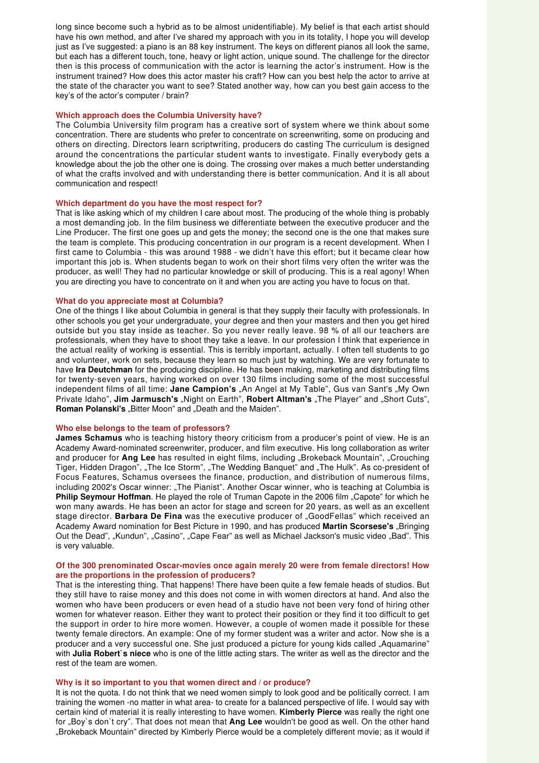long since become such a hybrid as to be almost unidentifiable). My belief is that each artist should have his own method, and after I've shared my approach with you in its totality, I hope you will develop just as I've suggested: a piano is an 88 key instrument. The keys on different pianos all look the same, but each has a different touch, tone, heavy or light action, unique sound. The challenge for the director then is this process of communication with the actor is learning the actor's instrument. How is the instrument trained? How does this actor master his craft? How can you best help the actor to arrive at the state of the character you want to see? Stated another way, how can you best gain access to the key's of the actor's computer / brain?

#### **Which approach does the Columbia University have?**

The Columbia University film program has a creative sort of system where we think about some concentration. There are students who prefer to concentrate on screenwriting, some on producing and others on directing. Directors learn scriptwriting, producers do casting The curriculum is designed around the concentrations the particular student wants to investigate. Finally everybody gets a knowledge about the job the other one is doing. The crossing over makes a much better understanding of what the crafts involved and with understanding there is better communication. And it is all about communication and respect!

#### **Which department do you have the most respect for?**

That is like asking which of my children I care about most. The producing of the whole thing is probably a most demanding job. In the film business we differentiate between the executive producer and the Line Producer. The first one goes up and gets the money; the second one is the one that makes sure the team is complete. This producing concentration in our program is a recent development. When I first came to Columbia - this was around 1988 - we didn't have this effort; but it became clear how important this job is. When students began to work on their short films very often the writer was the producer, as well! They had no particular knowledge or skill of producing. This is a real agony! When you are directing you have to concentrate on it and when you are acting you have to focus on that.

#### **What do you appreciate most at Columbia?**

One of the things I like about Columbia in general is that they supply their faculty with professionals. In other schools you get your undergraduate, your degree and then your masters and then you get hired outside but you stay inside as teacher. So you never really leave. 98 % of all our teachers are professionals, when they have to shoot they take a leave. In our profession I think that experience in the actual reality of working is essential. This is terribly important, actually. I often tell students to go and volunteer, work on sets, because they learn so much just by watching. We are very fortunate to have **Ira Deutchman** for the producing discipline. He has been making, marketing and distributing films for twenty-seven years, having worked on over 130 films including some of the most successful independent films of all time: Jane Campion's "An Angel at My Table", Gus van Sant's "My Own Private Idaho", Jim Jarmusch's "Night on Earth", Robert Altman's "The Player" and "Short Cuts", **Roman Polanski's** "Bitter Moon" and "Death and the Maiden".

#### **Who else belongs to the team of professors?**

**James Schamus** who is teaching history theory criticism from a producer's point of view. He is an Academy Award-nominated screenwriter, producer, and film executive. His long collaboration as writer and producer for Ang Lee has resulted in eight films, including "Brokeback Mountain", "Crouching Tiger, Hidden Dragon", "The Ice Storm", "The Wedding Banquet" and "The Hulk". As co-president of Focus Features, Schamus oversees the finance, production, and distribution of numerous films, including 2002's Oscar winner: "The Pianist". Another Oscar winner, who is teaching at Columbia is **Philip Seymour Hoffman**. He played the role of Truman Capote in the 2006 film "Capote" for which he won many awards. He has been an actor for stage and screen for 20 years, as well as an excellent stage director. **Barbara De Fina** was the executive producer of "GoodFellas" which received an Academy Award nomination for Best Picture in 1990, and has produced Martin Scorsese's "Bringing Out the Dead", "Kundun", "Casino", "Cape Fear" as well as Michael Jackson's music video "Bad". This is very valuable.

#### **Of the 300 prenominated Oscar-movies once again merely 20 were from female directors! How are the proportions in the profession of producers?**

That is the interesting thing. That happens! There have been quite a few female heads of studios. But they still have to raise money and this does not come in with women directors at hand. And also the women who have been producers or even head of a studio have not been very fond of hiring other women for whatever reason. Either they want to protect their position or they find it too difficult to get the support in order to hire more women. However, a couple of women made it possible for these twenty female directors. An example: One of my former student was a writer and actor. Now she is a producer and a very successful one. She just produced a picture for young kids called "Aquamarine" with **Julia Robert`s niece** who is one of the little acting stars. The writer as well as the director and the rest of the team are women.

#### **Why is it so important to you that women direct and / or produce?**

It is not the quota. I do not think that we need women simply to look good and be politically correct. I am training the women -no matter in what area- to create for a balanced perspective of life. I would say with certain kind of material it is really interesting to have women. **Kimberly Pierce** was really the right one for "Boy`s don`t cry". That does not mean that **Ang Lee** wouldn't be good as well. On the other hand "Brokeback Mountain" directed by Kimberly Pierce would be a completely different movie; as it would if